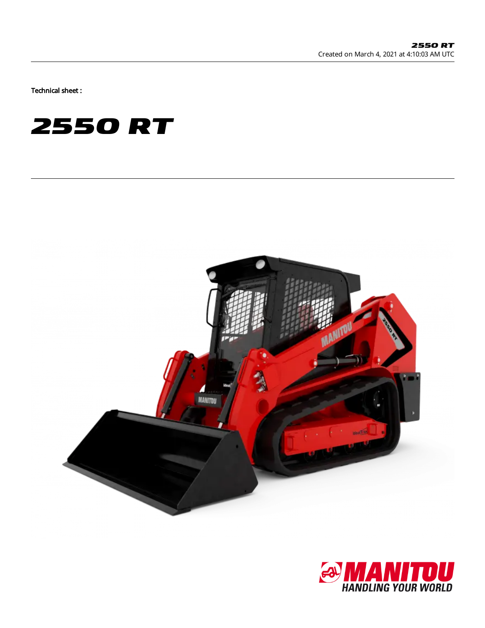Technical sheet :





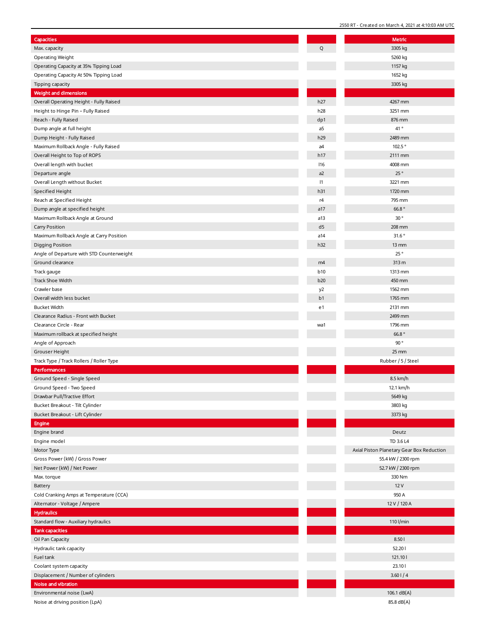| Capacities                                |            | Metric                                       |
|-------------------------------------------|------------|----------------------------------------------|
| Max. capacity                             | O          | 3305 kg                                      |
| Operating Weight                          |            | 5260 kg                                      |
| Operating Capacity at 35% Tipping Load    |            | 1157 kg                                      |
| Operating Capacity At 50% Tipping Load    |            | 1652 kg                                      |
| Tipping capacity                          |            | 3305 kg                                      |
| Weight and dimensions                     |            |                                              |
| Overall Operating Height - Fully Raised   | h27        | 4267 mm                                      |
| Height to Hinge Pin - Fully Raised        | h28        | 3251 mm                                      |
| Reach - Fully Raised                      | dp1        | 876 mm                                       |
| Dump angle at full height                 | a5         | 41°                                          |
| Dump Height - Fully Raised                | h29        | 2489 mm                                      |
| Maximum Rollback Angle - Fully Raised     | a4         | 102.5°                                       |
| Overall Height to Top of ROPS             | h17        | 2111 mm                                      |
| Overall length with bucket                | 116        | 4008 mm                                      |
| Departure angle                           | a2         | 25°                                          |
| Overall Length without Bucket             | 1          | 3221 mm                                      |
| Specified Height                          | h31        | 1720 mm                                      |
| Reach at Specified Height                 | r4         | 795 mm                                       |
| Dump angle at specified height            | a17        | 66.8 $^{\circ}$                              |
|                                           |            | 30°                                          |
| Maximum Rollback Angle at Ground          | a13        |                                              |
| <b>Carry Position</b>                     | d5         | 208 mm                                       |
| Maximum Rollback Angle at Carry Position  | a14        | 31.6°                                        |
| <b>Digging Position</b>                   | h32        | $13 \, \text{mm}$                            |
| Angle of Departure with STD Counterweight |            | 25°                                          |
| Ground clearance                          | m4         | 313 m                                        |
| Track gauge                               | <b>b10</b> | 1313 mm                                      |
| Track Shoe Width                          | b20        | 450 mm                                       |
| Crawler base                              | y2         | 1562 mm                                      |
| Overall width less bucket                 | b1         | 1765 mm                                      |
| <b>Bucket Width</b>                       | e1         | 2131 mm                                      |
| Clearance Radius - Front with Bucket      |            | 2499 mm                                      |
| Clearance Circle - Rear                   | wa1        | 1796 mm                                      |
| Maximum rollback at specified height      |            | 66.8°                                        |
| Angle of Approach                         |            | 90°                                          |
| Grouser Height                            |            | $25$ mm                                      |
| Track Type / Track Rollers / Roller Type  |            | Rubber / 5 / Steel                           |
| Performances                              |            |                                              |
| Ground Speed - Single Speed               |            | 8.5 km/h                                     |
| Ground Speed - Two Speed                  |            | 12.1 km/h                                    |
| Drawbar Pull/Tractive Effort              |            | 5649 kg                                      |
| Bucket Breakout - Tilt Cylinder           |            | 3803 kg                                      |
| Bucket Breakout - Lift Cylinder           |            | 3373 kg                                      |
| <b>Engine</b>                             |            |                                              |
| Engine brand                              |            | Deutz                                        |
|                                           |            |                                              |
| Engine model                              |            | TD 3.6 L4<br>Axial Piston Planetary Gear Bo: |
| Motor Type                                |            |                                              |
| Gross Power (kW) / Gross Power            |            | 55.4 kW / 2300 rpm                           |
| Net Power (kW) / Net Power                |            | 52.7 kW / 2300 rpm                           |
| Max. torque                               |            | 330 Nm                                       |
| Battery                                   |            | 12V                                          |
| Cold Cranking Amps at Temperature (CCA)   |            | 950 A                                        |
| Alternator - Voltage / Ampere             |            | 12 V / 120 A                                 |
| <b>Hydraulics</b>                         |            |                                              |
| Standard flow - Auxiliary hydraulics      |            | 110 l/min                                    |
| <b>Tank capacities</b>                    |            |                                              |
| Oil Pan Capacity                          |            | 8.50                                         |
| Hydraulic tank capacity                   |            | 52.201                                       |
| Fuel tank                                 |            | 121.101                                      |
| Coolant system capacity                   |            | 23.10                                        |
| Displacement / Number of cylinders        |            | 3.601/4                                      |
| Noise and vibration                       |            |                                              |
| Environmental noise (LwA)                 |            | 106.1 $dB(A)$                                |
| Noise at driving position (LpA)           |            | 85.8 dB(A)                                   |

|            | <u>2330 RT - Cleated Off March 4, 2021 at 4.10.03 AM OTC</u> |
|------------|--------------------------------------------------------------|
|            | Metric                                                       |
| Q          | 3305 kg                                                      |
|            | 5260 kg                                                      |
|            | 1157 kg                                                      |
|            | 1652 kg                                                      |
|            | 3305 kg                                                      |
|            |                                                              |
| h27        | 4267 mm                                                      |
| h28        | 3251 mm                                                      |
| dp1        | 876 mm                                                       |
| a5         | 41 °                                                         |
| h29        | 2489 mm                                                      |
| a4         | 102.5°                                                       |
| h17<br>116 | 2111 mm<br>4008 mm                                           |
|            | 25°                                                          |
| a2<br> 1   | 3221 mm                                                      |
|            |                                                              |
| h31<br>r4  | 1720 mm<br>795 mm                                            |
| a17        | 66.8°                                                        |
| a13        | 30°                                                          |
| d5         | 208 mm                                                       |
| a14        | 31.6 $\degree$                                               |
| h32        | $13 \, \text{mm}$                                            |
|            | 25 $^{\circ}$                                                |
| m4         | 313 m                                                        |
| b10        | 1313 mm                                                      |
| b20        | 450 mm                                                       |
| y2         | 1562 mm                                                      |
| b1         | 1765 mm                                                      |
| e1         | 2131 mm                                                      |
|            | 2499 mm                                                      |
| wa1        | 1796 mm                                                      |
|            | 66.8°                                                        |
|            | 90°                                                          |
|            | 25 mm                                                        |
|            | Rubber / 5 / Steel                                           |
|            |                                                              |
|            | 8.5 km/h                                                     |
|            | 12.1 km/h                                                    |
|            | 5649 kg                                                      |
|            | 3803 kg                                                      |
|            | 3373 kg                                                      |
|            |                                                              |
|            |                                                              |
|            | Deutz                                                        |
|            | TD 3.6 L4                                                    |
|            | Axial Piston Planetary Gear Box Reduction                    |
|            | 55.4 kW / 2300 rpm                                           |
|            | 52.7 kW / 2300 rpm                                           |
|            | 330 Nm                                                       |
|            | 12V                                                          |
|            | 950 A                                                        |
|            | 12 V / 120 A                                                 |
|            |                                                              |
|            | 110 l/min                                                    |
|            |                                                              |
|            | 8.501                                                        |
|            | 52.201                                                       |
|            | 121.101                                                      |
|            | 23.101                                                       |
|            | 3.601/4                                                      |
|            |                                                              |
|            | 106.1 dB(A)<br>85.8 dB(A)                                    |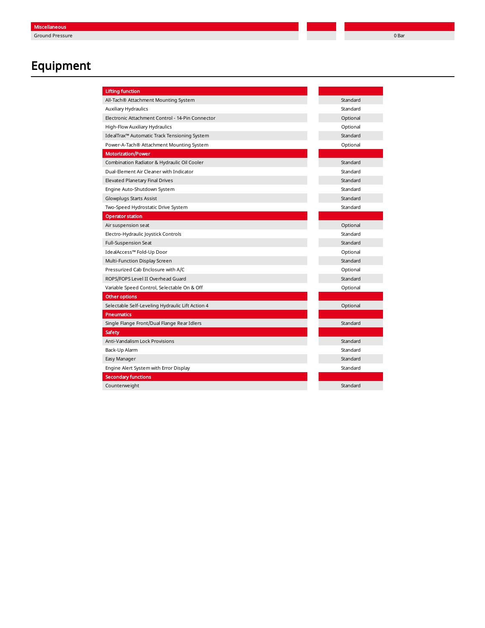## **Equipment**

| <b>Lifting function</b>                          |          |
|--------------------------------------------------|----------|
| All-Tach® Attachment Mounting System             | Standard |
| Auxiliary Hydraulics                             | Standard |
| Electronic Attachment Control - 14-Pin Connector | Optional |
| High-Flow Auxiliary Hydraulics                   | Optional |
| IdealTrax™ Automatic Track Tensioning System     | Standard |
| Power-A-Tach® Attachment Mounting System         | Optional |
| <b>Motorization/Power</b>                        |          |
| Combination Radiator & Hydraulic Oil Cooler      | Standard |
| Dual-Element Air Cleaner with Indicator          | Standard |
| <b>Elevated Planetary Final Drives</b>           | Standard |
| Engine Auto-Shutdown System                      | Standard |
| Glowplugs Starts Assist                          | Standard |
| Two-Speed Hydrostatic Drive System               | Standard |
| <b>Operator station</b>                          |          |
| Air suspension seat                              | Optional |
| Electro-Hydraulic Joystick Controls              | Standard |
| Full-Suspension Seat                             | Standard |
| IdealAccess™ Fold-Up Door                        | Optional |
| Multi-Function Display Screen                    | Standard |
| Pressurized Cab Enclosure with A/C               | Optional |
| ROPS/FOPS Level II Overhead Guard                | Standard |
| Variable Speed Control, Selectable On & Off      | Optional |
| Other options                                    |          |
| Selectable Self-Leveling Hydraulic Lift Action 4 | Optional |
| <b>Pneumatics</b>                                |          |
| Single Flange Front/Dual Flange Rear Idlers      | Standard |
| Safety                                           |          |
| Anti-Vandalism Lock Provisions                   | Standard |
| Back-Up Alarm                                    | Standard |
| Easy Manager                                     | Standard |
| Engine Alert System with Error Display           | Standard |
| <b>Secondary functions</b>                       |          |
| Counterweight                                    | Standard |